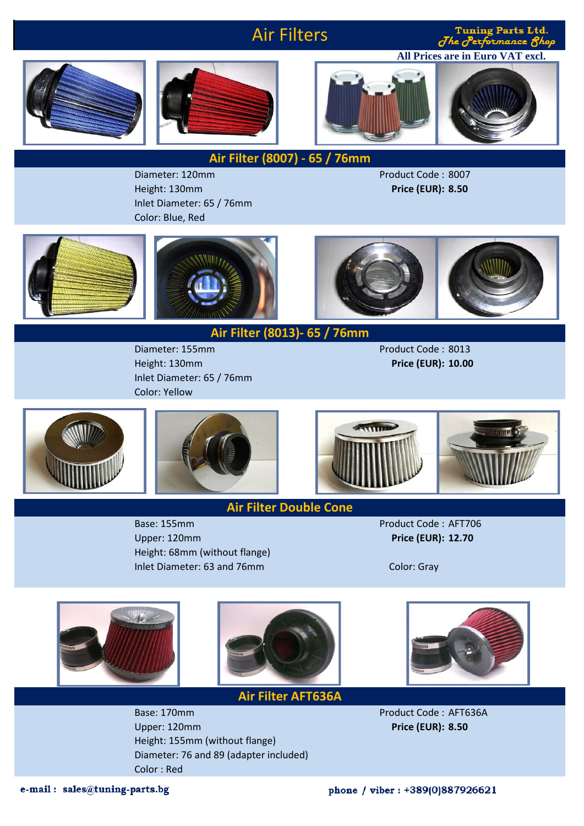## Air Filters

The Performance 8hop

**Tuning Parts Ltd.** 







**Air Filter (8007) - 65 / 76mm**

Diameter: 120mm Product Code : 8007 Height: 130mm **Price (EUR): 8.50** Inlet Diameter: 65 / 76mm Color: Blue, Red







**Air Filter (8013)- 65 / 76mm**

Height: 130mm **Price (EUR): 10.00** Inlet Diameter: 65 / 76mm Color: Yellow







**Air Filter Double Cone**

Base: 155mm Product Code : AFT706 Upper: 120mm **Price (EUR): 12.70** Height: 68mm (without flange) Inlet Diameter: 63 and 76mm





Base: 170mm Product Code : AFT636A Upper: 120mm **Price (EUR): 8.50** Height: 155mm (without flange) Diameter: 76 and 89 (adapter included) Color : Red



e-mail: sales@tuning-parts.bg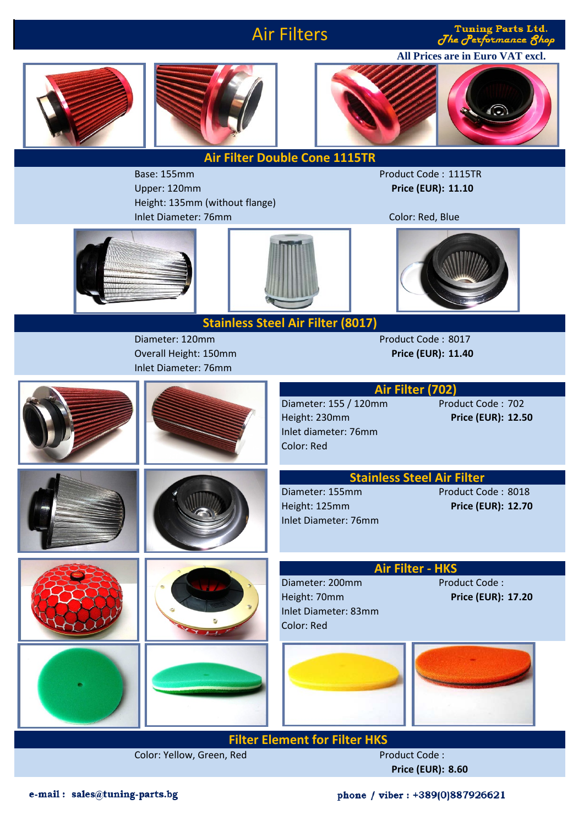## Air Filters

**Tuning Parts Ltd.** The Performance 8hop







**Air Filter Double Cone 1115TR**

Upper: 120mm **Price (EUR): 11.10** Height: 135mm (without flange) Inlet Diameter: 76mm Color: Red, Blue

Base: 155mm Product Code : 1115TR





Diameter: 120mm Product Code : 8017 Overall Height: 150mm **Price (EUR): 11.40** Inlet Diameter: 76mm

Diameter: 155 / 120mm



**Filter Element for Filter HKS** 

Color: Yellow, Green, Red Product Code :

**Price (EUR): 8.60**

phone / viber : +389(0)887926621